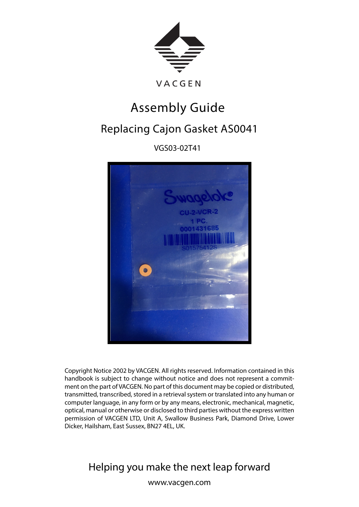

## Assembly Guide

## Replacing Cajon Gasket AS0041

VGS03-02T41



Copyright Notice 2002 by VACGEN. All rights reserved. Information contained in this handbook is subject to change without notice and does not represent a commitment on the part of VACGEN. No part of this document may be copied or distributed, transmitted, transcribed, stored in a retrieval system or translated into any human or computer language, in any form or by any means, electronic, mechanical, magnetic, optical, manual or otherwise or disclosed to third parties without the express written permission of VACGEN LTD, Unit A, Swallow Business Park, Diamond Drive, Lower Dicker, Hailsham, East Sussex, BN27 4EL, UK.

Helping you make the next leap forward

www.vacgen.com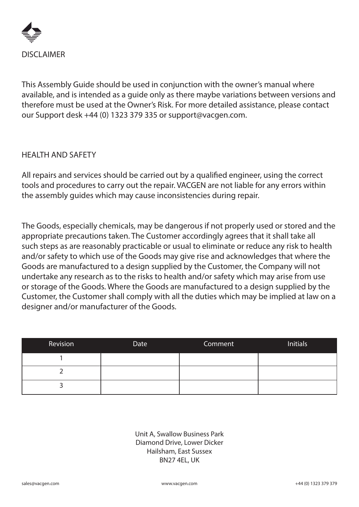

This Assembly Guide should be used in conjunction with the owner's manual where available, and is intended as a guide only as there maybe variations between versions and therefore must be used at the Owner's Risk. For more detailed assistance, please contact our Support desk +44 (0) 1323 379 335 or support@vacgen.com.

## HEALTH AND SAFETY

All repairs and services should be carried out by a qualified engineer, using the correct tools and procedures to carry out the repair. VACGEN are not liable for any errors within the assembly guides which may cause inconsistencies during repair.

The Goods, especially chemicals, may be dangerous if not properly used or stored and the appropriate precautions taken. The Customer accordingly agrees that it shall take all such steps as are reasonably practicable or usual to eliminate or reduce any risk to health and/or safety to which use of the Goods may give rise and acknowledges that where the Goods are manufactured to a design supplied by the Customer, the Company will not undertake any research as to the risks to health and/or safety which may arise from use or storage of the Goods. Where the Goods are manufactured to a design supplied by the Customer, the Customer shall comply with all the duties which may be implied at law on a designer and/or manufacturer of the Goods.

| Revision | Date | Comment | <b>Initials</b> |
|----------|------|---------|-----------------|
|          |      |         |                 |
|          |      |         |                 |
|          |      |         |                 |

Unit A, Swallow Business Park Diamond Drive, Lower Dicker Hailsham, East Sussex BN27 4EL, UK